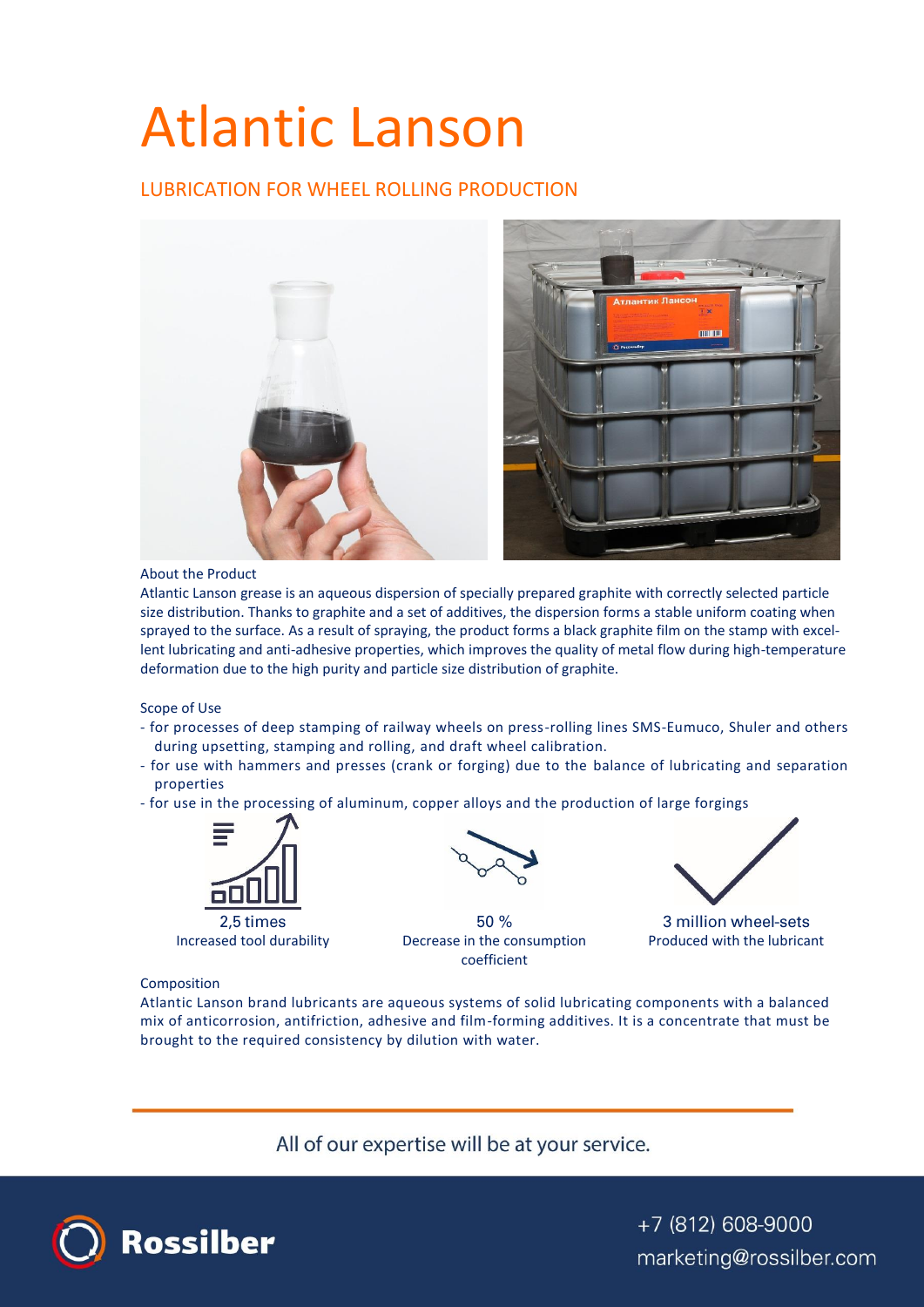# Atlantic Lanson

# LUBRICATION FOR WHEEL ROLLING PRODUCTION



### About the Product

Atlantic Lanson grease is an aqueous dispersion of specially prepared graphite with correctly selected particle size distribution. Thanks to graphite and a set of additives, the dispersion forms a stable uniform coating when sprayed to the surface. As a result of spraying, the product forms a black graphite film on the stamp with excellent lubricating and anti-adhesive properties, which improves the quality of metal flow during high-temperature deformation due to the high purity and particle size distribution of graphite.

#### Scope of Use

- for processes of deep stamping of railway wheels on press-rolling lines SMS-Eumuco, Shuler and others during upsetting, stamping and rolling, and draft wheel calibration.
- for use with hammers and presses (crank or forging) due to the balance of lubricating and separation properties
- for use in the processing of aluminum, copper alloys and the production of large forgings



2,5 times



50 % Increased tool durability Decrease in the consumption coefficient



3 million wheel-sets Produced with the lubricant

## Composition

Atlantic Lanson brand lubricants are aqueous systems of solid lubricating components with a balanced mix of anticorrosion, antifriction, adhesive and film-forming additives. It is a concentrate that must be brought to the required consistency by dilution with water.

All of our expertise will be at your service.



+7 (812) 608-9000 marketing@rossilber.com